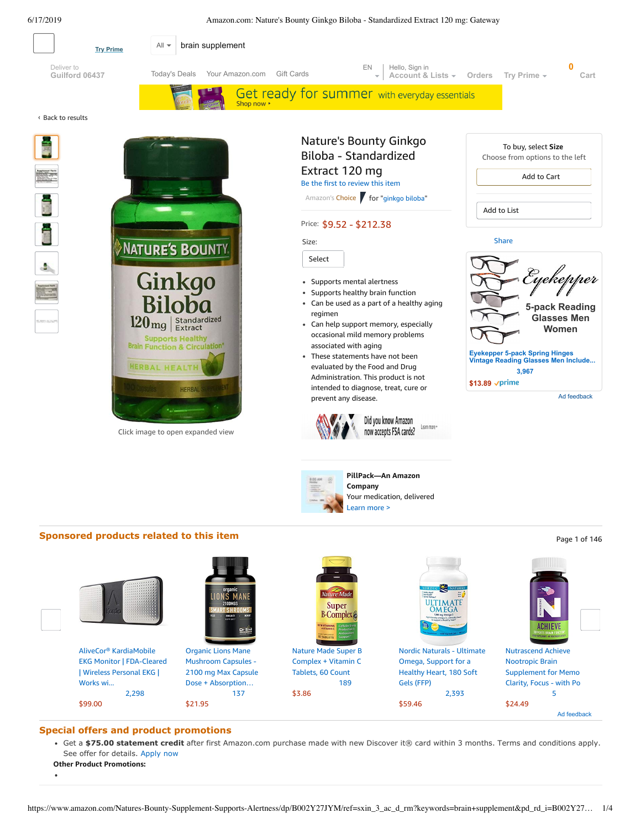<span id="page-0-0"></span>

## **Special offers and product promotions**

[2,298](https://www.amazon.com/gp/slredirect/picassoRedirect.html/ref=sspa_dk_detail_0?ie=UTF8&adId=A05657592VNEECXTC40FR&qualifier=1560781948&id=6881215007562599&widgetName=sp_detail&url=%2Fdp%2FB01A4W8AUK%2Fref%3Dsspa_dk_detail_0%3Fpsc%3D1%26pd_rd_i%3DB01A4W8AUK%26pd_rd_w%3D9wW5r%26pf_rd_p%3D8a8f3917-7900-4ce8-ad90-adf0d53c0985%26pd_rd_wg%3DTOwhY%26pf_rd_r%3D9HCPYQXR4ARRQ2YS6FZE%26pd_rd_r%3Dbb8f0d1c-910c-11e9-ab43-bb92971a421c#customerReviews)

Get a **\$75.00 statement credit** [after first Amazon.com purchase made with new Discover it® card within 3 months. Terms and conditions apply.](https://www.amazon.com/gp/product/B00UCFEZOU?pr=discoveritmiles&inc=discoveritmiles&ts=52xpnwnxkf7nxkpfee6ajampzn0nkwv&dasin=B07T71R577&plattr=D_PREM&place=detailpage&imp=b6716911-f327-4c98-aff5-708e6568d9bf) See offer for details. Apply now

\$3.86

[137](https://www.amazon.com/gp/slredirect/picassoRedirect.html/ref=sspa_dk_detail_1?ie=UTF8&adId=A0385292K9V6U8UXS7RH&qualifier=1560781948&id=6881215007562599&widgetName=sp_detail&url=%2Fdp%2FB07Q5DZJTK%2Fref%3Dsspa_dk_detail_1%3Fpsc%3D1%26pd_rd_i%3DB07Q5DZJTK%26pd_rd_w%3D9wW5r%26pf_rd_p%3D8a8f3917-7900-4ce8-ad90-adf0d53c0985%26pd_rd_wg%3DTOwhY%26pf_rd_r%3D9HCPYQXR4ARRQ2YS6FZE%26pd_rd_r%3Dbb8f0d1c-910c-11e9-ab43-bb92971a421c%26smid%3DA1TK860KZRN8XL#customerReviews)

\$21.95

Ad feedback

[5](https://www.amazon.com/gp/slredirect/picassoRedirect.html/ref=sspa_dk_detail_4?ie=UTF8&adId=A05338781WONOXR44X2FY&qualifier=1560781948&id=6881215007562599&widgetName=sp_detail&url=%2Fdp%2FB07P693548%2Fref%3Dsspa_dk_detail_4%3Fpsc%3D1%26pd_rd_i%3DB07P693548%26pd_rd_w%3D9wW5r%26pf_rd_p%3D8a8f3917-7900-4ce8-ad90-adf0d53c0985%26pd_rd_wg%3DTOwhY%26pf_rd_r%3D9HCPYQXR4ARRQ2YS6FZE%26pd_rd_r%3Dbb8f0d1c-910c-11e9-ab43-bb92971a421c#customerReviews)

\$24.49

[2,393](https://www.amazon.com/gp/slredirect/picassoRedirect.html/ref=sspa_dk_detail_3?ie=UTF8&adId=A04447103OAQ204NBEDD3&qualifier=1560781948&id=6881215007562599&widgetName=sp_detail&url=%2Fdp%2FB015RZ89BE%2Fref%3Dsspa_dk_detail_3%3Fpsc%3D1%26pd_rd_i%3DB015RZ89BE%26pd_rd_w%3D9wW5r%26pf_rd_p%3D8a8f3917-7900-4ce8-ad90-adf0d53c0985%26pd_rd_wg%3DTOwhY%26pf_rd_r%3D9HCPYQXR4ARRQ2YS6FZE%26pd_rd_r%3Dbb8f0d1c-910c-11e9-ab43-bb92971a421c#customerReviews)

\$59.46

**Other Product Promotions:**

 $\bullet$ 

\$99.00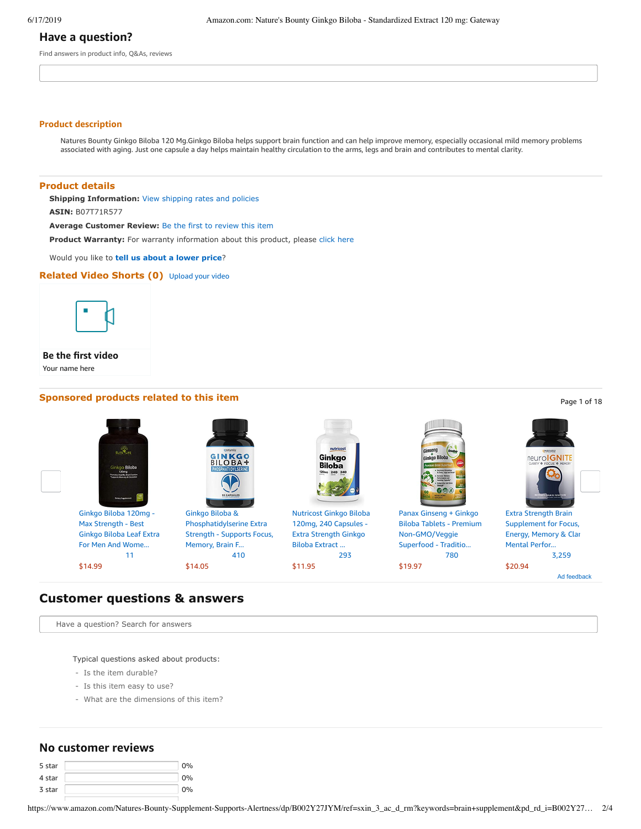## **Have a question?**

Find answers in product info, Q&As, reviews

#### **Product description**

Natures Bounty Ginkgo Biloba 120 Mg.Ginkgo Biloba helps support brain function and can help improve memory, especially occasional mild memory problems associated with aging. Just one capsule a day helps maintain healthy circulation to the arms, legs and brain and contributes to mental clarity.

## **Product details**

**Shipping Information:** [View shipping rates and policies](https://www.amazon.com/gp/help/seller/shipping.html/ref=dp_pd_shipping?ie=UTF8&asin=B07T71R577&seller=)

**ASIN:** B07T71R577

**Average Customer Review:** [Be the first to review this item](https://www.amazon.com/review/create-review/ref=acr_dpproductdetail_solicit?ie=UTF8&asin=B07T71R577)

**Product Warranty:** For warranty information about this product, please [click here](https://www.amazon.com/gp/feature.html/ref=dp_warranty_request_3P?ie=UTF8&docId=1002406021)

Would you like to **tell us about a lower price**?

### **Related Video Shorts (0)** [Upload](https://www.amazon.com/creatorhub/video/upload?productASIN=B07T71R577&referringURL=ZHAvQjA3VDcxUjU3Nw%3D%3D&ref=RVSW) your video



### **Be the first video**

Your name here

# **Sponsored products related to this item Page 1 of 18** Page 1 of 18

nutricos Ginkgo **Biloba** Ginkgo Biloba 120mg - Ginkgo Biloba & [Nutricost](https://www.amazon.com/gp/slredirect/picassoRedirect.html/ref=sspa_dk_detail_2?ie=UTF8&adId=A017390527B1AJER3O7LB&qualifier=1560781947&id=2155993721896484&widgetName=sp_detail2&url=%2Fdp%2FB01BCULYEC%2Fref%3Dsspa_dk_detail_2%3Fpsc%3D1) Ginkgo Biloba Panax Ginseng + Ginkgo Extra Strength Brain Max [Strength](https://www.amazon.com/gp/slredirect/picassoRedirect.html/ref=sspa_dk_detail_0?ie=UTF8&adId=A002079134SKRSG7BSM5P&qualifier=1560781947&id=2155993721896484&widgetName=sp_detail2&url=%2Fdp%2FB07NXNJLGT%2Fref%3Dsspa_dk_detail_0%3Fpsc%3D1) - Best [Phosphatidylserine](https://www.amazon.com/gp/slredirect/picassoRedirect.html/ref=sspa_dk_detail_1?ie=UTF8&adId=A087227693VZ0SO3OCZB&qualifier=1560781947&id=2155993721896484&widgetName=sp_detail2&url=%2Fdp%2FB072JG37CY%2Fref%3Dsspa_dk_detail_1%3Fpsc%3D1) Extra 120mg, 240 Capsules - Biloba Tablets - Premium [Supplement](https://www.amazon.com/gp/slredirect/picassoRedirect.html/ref=sspa_dk_detail_4?ie=UTF8&adId=A0948331IXE3I4ALDI2J&qualifier=1560781947&id=2155993721896484&widgetName=sp_detail2&url=%2Fdp%2FB01J46SZUW%2Fref%3Dsspa_dk_detail_4%3Fpsc%3D1%26smid%3DA2A6DNK56T4OQ4) for Focus, Strength - Supports Focus, Ginkgo Biloba Leaf Extra Extra Strength Ginkgo [Non-GMO/Veggie](https://www.amazon.com/gp/slredirect/picassoRedirect.html/ref=sspa_dk_detail_3?ie=UTF8&adId=A07795002MY6RK8XP7G3L&qualifier=1560781947&id=2155993721896484&widgetName=sp_detail2&url=%2Fdp%2FB01AGLL2RW%2Fref%3Dsspa_dk_detail_3%3Fpsc%3D1) Energy, Memory & Clar For Men And Wome... Memory, Brain F... Biloba Extract ... Superfood - Traditio... Mental Perfor... [11](https://www.amazon.com/gp/slredirect/picassoRedirect.html/ref=sspa_dk_detail_0?ie=UTF8&adId=A002079134SKRSG7BSM5P&qualifier=1560781947&id=2155993721896484&widgetName=sp_detail2&url=%2Fdp%2FB07NXNJLGT%2Fref%3Dsspa_dk_detail_0%3Fpsc%3D1#customerReviews) [410](https://www.amazon.com/gp/slredirect/picassoRedirect.html/ref=sspa_dk_detail_1?ie=UTF8&adId=A087227693VZ0SO3OCZB&qualifier=1560781947&id=2155993721896484&widgetName=sp_detail2&url=%2Fdp%2FB072JG37CY%2Fref%3Dsspa_dk_detail_1%3Fpsc%3D1#customerReviews) [293](https://www.amazon.com/gp/slredirect/picassoRedirect.html/ref=sspa_dk_detail_2?ie=UTF8&adId=A017390527B1AJER3O7LB&qualifier=1560781947&id=2155993721896484&widgetName=sp_detail2&url=%2Fdp%2FB01BCULYEC%2Fref%3Dsspa_dk_detail_2%3Fpsc%3D1#customerReviews) [780](https://www.amazon.com/gp/slredirect/picassoRedirect.html/ref=sspa_dk_detail_3?ie=UTF8&adId=A07795002MY6RK8XP7G3L&qualifier=1560781947&id=2155993721896484&widgetName=sp_detail2&url=%2Fdp%2FB01AGLL2RW%2Fref%3Dsspa_dk_detail_3%3Fpsc%3D1#customerReviews) [3,259](https://www.amazon.com/gp/slredirect/picassoRedirect.html/ref=sspa_dk_detail_4?ie=UTF8&adId=A0948331IXE3I4ALDI2J&qualifier=1560781947&id=2155993721896484&widgetName=sp_detail2&url=%2Fdp%2FB01J46SZUW%2Fref%3Dsspa_dk_detail_4%3Fpsc%3D1%26smid%3DA2A6DNK56T4OQ4#customerReviews)

\$14.99

\$14.05

\$11.95

\$19.97



Ad feedback \$20.94

## **Customer questions & answers**

Have a question? Search for answers

Typical questions asked about products:

- Is the item durable?
- Is this item easy to use?
- What are the dimensions of this item?

## **No customer reviews**

| 5 star | 0%    |
|--------|-------|
| 4 star | $0\%$ |
| 3 star | 0%    |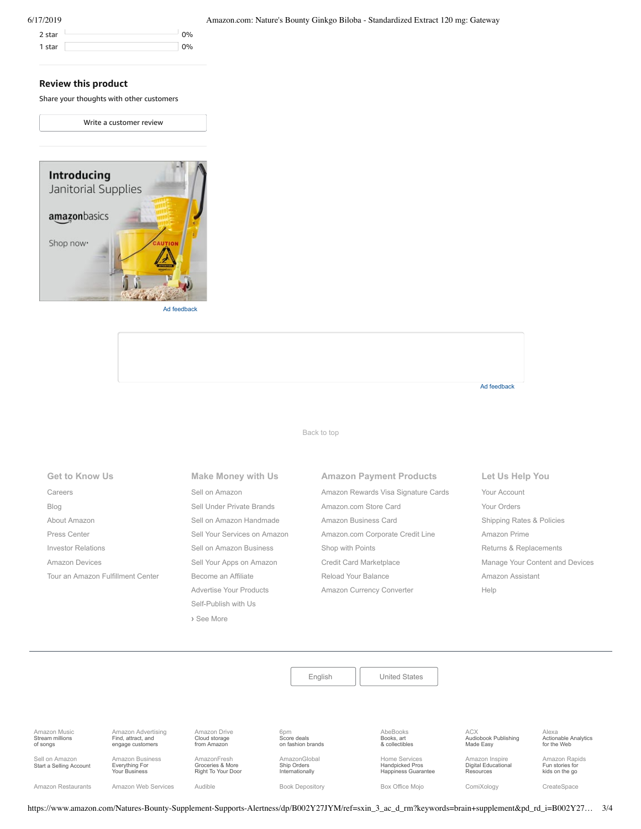| 2 star | 0% |
|--------|----|
| 1 star | 0% |

#### 6/17/2019 Amazon.com: Nature's Bounty Ginkgo Biloba - Standardized Extract 120 mg: Gateway

## **Review this product**

Share your thoughts with other customers

Write a [customer](https://www.amazon.com/review/create-review/ref=cm_cr_dp_d_wr_but_top?ie=UTF8&channel=glance-detail&asin=B07T71R577) review



Ad feedback

Ad feedback

#### [Back to top](#page-0-0)

**Get to Know Us** [Careers](https://www.amazon.jobs/) [Blog](https://blog.aboutamazon.com/?utm_source=gateway&utm_medium=footer) [About Amazon](https://www.aboutamazon.com/?utm_source=gateway&utm_medium=footer) [Press Center](https://www.amazon.com/pr) [Investor Relations](https://www.amazon.com/ir) [Amazon Devices](https://www.amazon.com/amazon-devices/b?ie=UTF8&node=2102313011&ref_=footer_devices) [Tour an Amazon Fulfillment Center](https://www.aboutamazon.com/amazon-fulfillment-center-tours?utm_source=gateway&utm_medium=footer&utm_campaign=fctours)

# **Make Money with Us** [Sell on Amazon](https://www.amazon.com/gp/redirect.html?_encoding=UTF8&location=https%3A%2F%2Fservices.amazon.com%2Fcontent%2Fsell-on-amazon.htm%2Fref%3Dfooter_soa%3Fld%3DAZFSSOA%26ref_%3Dfooter_soa&source=standards&token=1CC2E60AAEEFD9613C04037E8F5AFD0F4D90DC5B) [Sell Under Private Brands](https://www.amazon.com/l/ref=map_1_b2b_GW_FT?node=17882322011) [Sell on Amazon Handmade](https://www.amazon.com/gp/redirect.html?_encoding=UTF8&location=https%3A%2F%2Fservices.amazon.com%2Fhandmade%2Fhandmade.html%3Fld%3DAZUSHNDFooter%26ref_%3Dfooter_soa&source=standards&token=3B063664DF1F3D449986FD6D04FA7404D76C339B) [Sell Your Services on Amazon](https://www.amazon.com/gp/redirect.html?_encoding=UTF8&location=https%3A%2F%2Fservices.amazon.com%2Fselling-services%2Fbenefits.htm%3Fld%3DAZUSVAS-globalfooter%26ref_%3Dfooter_sell_svcs&source=standards&token=E93858F0E946F93FEAC7F36EFB8E10F5C54CDBFC) [Sell on Amazon Business](https://services.amazon.com/amazon-business.html?ld=usb2bunifooter) [Sell Your Apps on Amazon](https://developer.amazon.com/) [Become an Affiliate](https://affiliate-program.amazon.com/) [Advertise Your Products](https://advertising.amazon.com/?ref=ext_amzn_ftr) Self-Publish with Us **›** [See More](https://www.amazon.com/b/?_encoding=UTF8&ld=AZUSSOA-seemore&node=18190131011&ref_=footer_seemore)

# **Amazon Payment Products** [Amazon Rewards Visa Signature Cards](https://www.amazon.com/iss/credit/rewardscardmember?_encoding=UTF8&plattr=CBFOOT&ref_=footer_cbcc) [Amazon.com Store Card](https://www.amazon.com/iss/credit/storecardmember?_encoding=UTF8&plattr=PLCCFOOT&ref_=footer_plcc) [Amazon Business Card](https://www.amazon.com/dp/B07984JN3L?_encoding=UTF8&ie=UTF-8&plattr=ACOMFO) [Amazon.com Corporate Credit Line](https://www.amazon.com/dp/B07CBJQS16?_encoding=UTF8&ie=UTF-8&place=camp&plattr=CCLFOOT&pr=ibprox&ref_=footer_ccl) [Shop with Points](https://www.amazon.com/b?ie=UTF8&node=16218619011&ref_=footer_swp) [Credit Card Marketplace](https://www.amazon.com/compare-credit-card-offers/b?ie=UTF8&node=3561432011&ref_=footer_ccmp) [Reload Your Balance](https://www.amazon.com/Reload-Your-Gift-Card-Balance/b?ie=UTF8&node=10232440011&ref_=footer_reload_us) [Amazon Currency Converter](https://www.amazon.com/Currency-Converter/b?ie=UTF8&node=388305011&ref_=footer_tfx)

#### **Let Us Help You**

[Your Account](https://www.amazon.com/gp/css/homepage.html?ie=UTF8&ref_=footer_ya) [Your Orders](https://www.amazon.com/gp/css/order-history?ie=UTF8&ref_=footer_yo) [Shipping Rates & Policies](https://www.amazon.com/gp/help/customer/display.html?ie=UTF8&nodeId=468520&ref_=footer_shiprates) [Amazon Prime](https://www.amazon.com/gp/prime?ie=UTF8&ref_=footer_prime) [Returns & Replacements](https://www.amazon.com/gp/css/returns/homepage.html?ie=UTF8&ref_=footer_hy_f_4) [Manage Your Content and Devices](https://www.amazon.com/gp/digital/fiona/manage?ie=UTF8&ref_=footer_myk) [Amazon Assistant](https://www.amazon.com/gp/BIT/ref=footer_bit_v2_us_A0029?bitCampaignCode=A0029) [Help](https://www.amazon.com/gp/help/customer/display.html?ie=UTF8&nodeId=508510&ref_=footer_gw_m_b_he)

[English](https://www.amazon.com/gp/customer-preferences/select-language/ref=footer_lang?ie=UTF8&preferencesReturnUrl=%2FNatures-Bounty-Supplement-Supports-Alertness%2Fdp%2FB002Y27JYM%2Fref%3Dsxin_3_ac_d_rm%3Fkeywords%3Dbrain%2Bsupplement%26pd_rd_i%3DB002Y27JYM%26pd_rd_r%3D1b05512f-e6f6-4d2b-9bc5-464858604c0f%26pd_rd_w%3DLr1Nu%26pd_rd_wg%3DeFRB8%26pf_rd_p%3D91b604bb-c371-4573-970f-bed68a552852%26pf_rd_r%3DD2BV6Z9QXQPHXV5QV58F%26qid%3D1560775425%26s%3Dgateway) | [United States](https://www.amazon.com/gp/navigation-country/select-country/ref=?ie=UTF8&preferencesReturnUrl=%2FNatures-Bounty-Supplement-Supports-Alertness%2Fdp%2FB002Y27JYM%2Fref%3Dsxin_3_ac_d_rm%3Fkeywords%3Dbrain%2Bsupplement%26pd_rd_i%3DB002Y27JYM%26pd_rd_r%3D1b05512f-e6f6-4d2b-9bc5-464858604c0f%26pd_rd_w%3DLr1Nu%26pd_rd_wg%3DeFRB8%26pf_rd_p%3D91b604bb-c371-4573-970f-bed68a552852%26pf_rd_r%3DD2BV6Z9QXQPHXV5QV58F%26qid%3D1560775425%26s%3Dgateway)

[Amazon Music](https://music.amazon.com/?ref=dm_aff_amz_com) Stream millions of songs

[Amazon Advertising](https://advertising.amazon.com/?ref=footer_advtsing_amzn_com) Find, attract, and engage customers

[Amazon Drive](https://www.amazon.com/STRING-subnav_primephotos_amazondrive/b?ie=UTF8&node=15547130011&ref_=us_footer_drive) Cloud storage from Amazon

6pm Score deals

[on fashion brands](https://www.6pm.com/)

[AmazonGlobal](https://www.amazon.com/International-Shipping-Direct/b?ie=UTF8&node=230659011&ref_=footer_amazonglobal) Ship Orders

AbeBooks Books, art [& collectibles](https://www.abebooks.com/)

ACX [Audiobook Publishing](https://www.acx.com/) Made Easy

Alexa [Actionable Analytics](https://www.alexa.com/) for the Web

[Amazon Rapids](https://rapids.amazon.com/?ref=rapids_acq_gatewayfooter) Fun stories for

Sell on Amazon [Start a Selling Account](https://www.amazon.com/gp/redirect.html?_encoding=UTF8&location=https%3A%2F%2Fservices.amazon.com%2Fcontent%2Fsell-on-amazon.htm%3Fld%3DAZUSSOA-footer-aff%26ref%3Dfooter_sell&source=standards&token=9C20DC45C16BB27C88A9F9FF2131288939F17ADB)

[Amazon Business](https://www.amazon.com/business?_encoding=UTF8&ref_=footer_retail_b2b) Everything For Your Business

AmazonFresh Groceries & More [Right To Your Door](https://www.amazon.com/AmazonFresh/b?ie=UTF8&node=10329849011&ref_=footer_aff_fresh) [Amazon Restaurants](https://primenow.amazon.com/restaurants?ref_=amzrst_nav_footer) [Amazon Web Services](https://aws.amazon.com/what-is-cloud-computing/?sc_channel=EL&sc_campaign=amazonfooter) [Audible](https://www.audible.com/) Sources [Book Depository](https://www.bookdepository.com/) [Box Office Mojo](https://www.boxofficemojo.com/?ref_=amzn_nav_ftr) [ComiXology](https://www.comixology.com/) [CreateSpace](https://www.createspace.com/)

Internationally

Home Services Handpicked Pros [Happiness Guarantee](https://www.amazon.com/services?_encoding=UTF8&ref_=footer_services)

[Amazon Inspire](https://www.amazoninspire.com/?ref=amazon_footer) Digital Educational **Resources** 

kids on the go

https://www.amazon.com/Natures-Bounty-Supplement-Supports-Alertness/dp/B002Y27JYM/ref=sxin\_3\_ac\_d\_rm?keywords=brain+supplement&pd\_rd\_i=B002Y27… 3/4